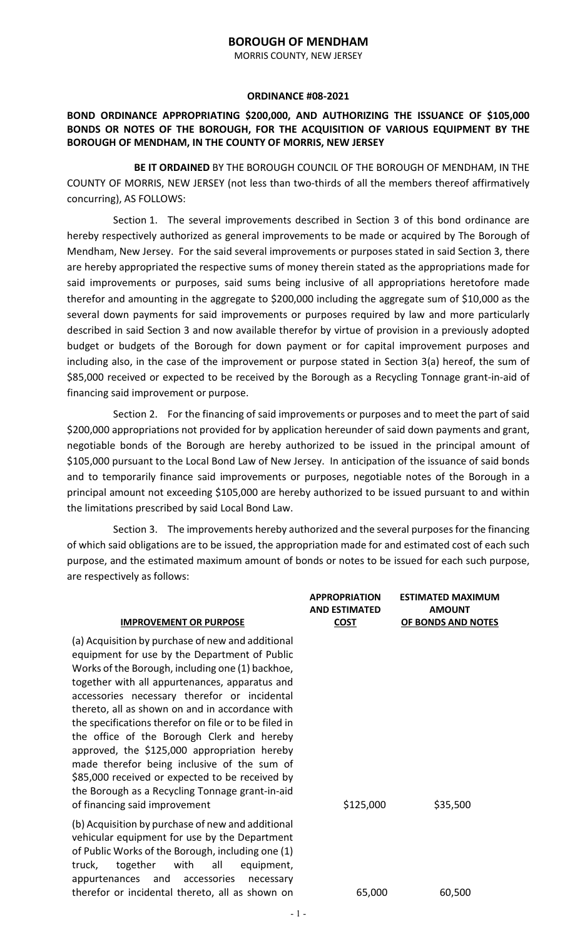## **BOROUGH OF MENDHAM**

MORRIS COUNTY, NEW JERSEY

## **ORDINANCE #08-2021**

## **BOND ORDINANCE APPROPRIATING \$200,000, AND AUTHORIZING THE ISSUANCE OF \$105,000 BONDS OR NOTES OF THE BOROUGH, FOR THE ACQUISITION OF VARIOUS EQUIPMENT BY THE BOROUGH OF MENDHAM, IN THE COUNTY OF MORRIS, NEW JERSEY**

**BE IT ORDAINED** BY THE BOROUGH COUNCIL OF THE BOROUGH OF MENDHAM, IN THE COUNTY OF MORRIS, NEW JERSEY (not less than two-thirds of all the members thereof affirmatively concurring), AS FOLLOWS:

Section 1. The several improvements described in Section 3 of this bond ordinance are hereby respectively authorized as general improvements to be made or acquired by The Borough of Mendham, New Jersey. For the said several improvements or purposes stated in said Section 3, there are hereby appropriated the respective sums of money therein stated as the appropriations made for said improvements or purposes, said sums being inclusive of all appropriations heretofore made therefor and amounting in the aggregate to \$200,000 including the aggregate sum of \$10,000 as the several down payments for said improvements or purposes required by law and more particularly described in said Section 3 and now available therefor by virtue of provision in a previously adopted budget or budgets of the Borough for down payment or for capital improvement purposes and including also, in the case of the improvement or purpose stated in Section 3(a) hereof, the sum of \$85,000 received or expected to be received by the Borough as a Recycling Tonnage grant-in-aid of financing said improvement or purpose.

Section 2. For the financing of said improvements or purposes and to meet the part of said \$200,000 appropriations not provided for by application hereunder of said down payments and grant, negotiable bonds of the Borough are hereby authorized to be issued in the principal amount of \$105,000 pursuant to the Local Bond Law of New Jersey. In anticipation of the issuance of said bonds and to temporarily finance said improvements or purposes, negotiable notes of the Borough in a principal amount not exceeding \$105,000 are hereby authorized to be issued pursuant to and within the limitations prescribed by said Local Bond Law.

Section 3. The improvements hereby authorized and the several purposes for the financing of which said obligations are to be issued, the appropriation made for and estimated cost of each such purpose, and the estimated maximum amount of bonds or notes to be issued for each such purpose, are respectively as follows:

| <b>APPROPRIATION</b><br><b>AND ESTIMATED</b><br><b>COST</b> | <b>ESTIMATED MAXIMUM</b><br><b>AMOUNT</b><br>OF BONDS AND NOTES |
|-------------------------------------------------------------|-----------------------------------------------------------------|
| \$125,000                                                   | \$35,500                                                        |
| 65,000                                                      | 60,500                                                          |
|                                                             |                                                                 |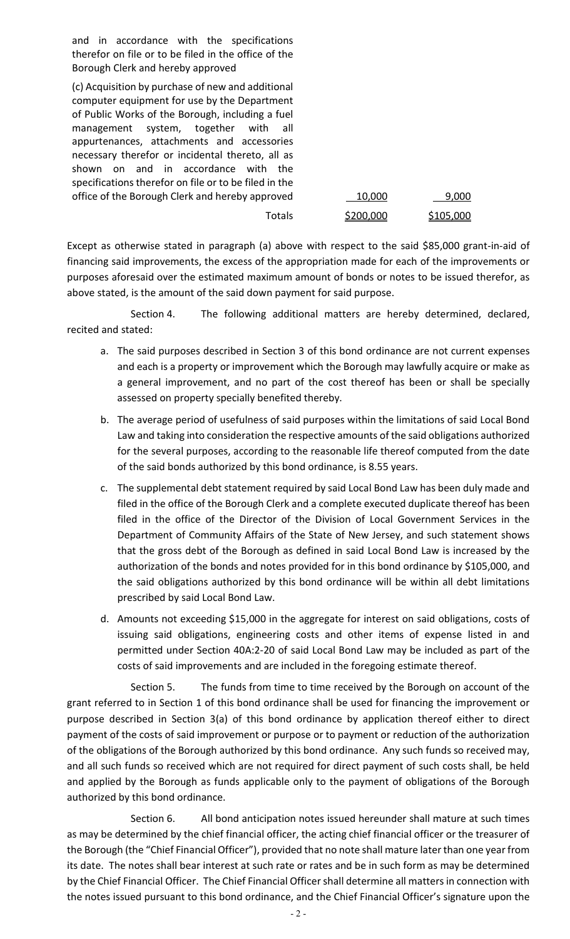and in accordance with the specifications therefor on file or to be filed in the office of the Borough Clerk and hereby approved

(c) Acquisition by purchase of new and additional computer equipment for use by the Department of Public Works of the Borough, including a fuel management system, together with all appurtenances, attachments and accessories necessary therefor or incidental thereto, all as shown on and in accordance with the specifications therefor on file or to be filed in the office of the Borough Clerk and hereby approved

| 10,000    | 9,000     |
|-----------|-----------|
| \$200,000 | \$105,000 |

Except as otherwise stated in paragraph (a) above with respect to the said \$85,000 grant-in-aid of financing said improvements, the excess of the appropriation made for each of the improvements or purposes aforesaid over the estimated maximum amount of bonds or notes to be issued therefor, as above stated, is the amount of the said down payment for said purpose.

Totals

Section 4. The following additional matters are hereby determined, declared, recited and stated:

- a. The said purposes described in Section 3 of this bond ordinance are not current expenses and each is a property or improvement which the Borough may lawfully acquire or make as a general improvement, and no part of the cost thereof has been or shall be specially assessed on property specially benefited thereby.
- b. The average period of usefulness of said purposes within the limitations of said Local Bond Law and taking into consideration the respective amounts of the said obligations authorized for the several purposes, according to the reasonable life thereof computed from the date of the said bonds authorized by this bond ordinance, is 8.55 years.
- c. The supplemental debt statement required by said Local Bond Law has been duly made and filed in the office of the Borough Clerk and a complete executed duplicate thereof has been filed in the office of the Director of the Division of Local Government Services in the Department of Community Affairs of the State of New Jersey, and such statement shows that the gross debt of the Borough as defined in said Local Bond Law is increased by the authorization of the bonds and notes provided for in this bond ordinance by \$105,000, and the said obligations authorized by this bond ordinance will be within all debt limitations prescribed by said Local Bond Law.
- d. Amounts not exceeding \$15,000 in the aggregate for interest on said obligations, costs of issuing said obligations, engineering costs and other items of expense listed in and permitted under Section 40A:2-20 of said Local Bond Law may be included as part of the costs of said improvements and are included in the foregoing estimate thereof.

Section 5. The funds from time to time received by the Borough on account of the grant referred to in Section 1 of this bond ordinance shall be used for financing the improvement or purpose described in Section 3(a) of this bond ordinance by application thereof either to direct payment of the costs of said improvement or purpose or to payment or reduction of the authorization of the obligations of the Borough authorized by this bond ordinance. Any such funds so received may, and all such funds so received which are not required for direct payment of such costs shall, be held and applied by the Borough as funds applicable only to the payment of obligations of the Borough authorized by this bond ordinance.

Section 6. All bond anticipation notes issued hereunder shall mature at such times as may be determined by the chief financial officer, the acting chief financial officer or the treasurer of the Borough (the "Chief Financial Officer"), provided that no note shall mature later than one year from its date. The notes shall bear interest at such rate or rates and be in such form as may be determined by the Chief Financial Officer. The Chief Financial Officer shall determine all matters in connection with the notes issued pursuant to this bond ordinance, and the Chief Financial Officer's signature upon the